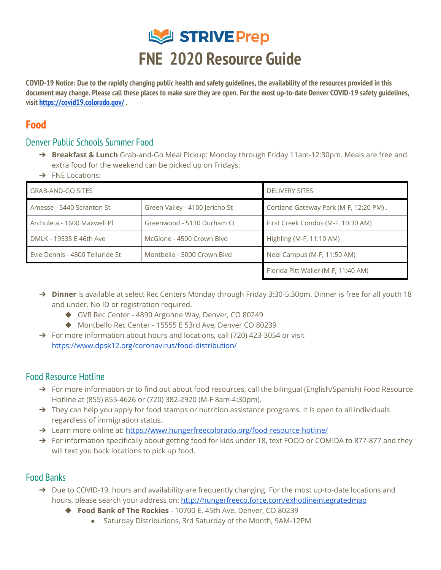

COVID-19 Notice: Due to the rapidly changing public health and safety quidelines, the availability of the resources provided in this document may change. Please call these places to make sure they are open. For the most up-to-date Denver COVID-19 safety quidelines, **visit <https://covid19.colorado.gov/> .**

# **Food**

#### Denver Public Schools Summer Food

- ➔ **Breakfast & Lunch** Grab-and-Go Meal Pickup: Monday through Friday 11am-12:30pm. Meals are free and extra food for the weekend can be picked up on Fridays.
- ➔ FNE Locations:

| <b>GRAB-AND-GO SITES</b>        |                                | <b>DELIVERY SITES</b>                  |
|---------------------------------|--------------------------------|----------------------------------------|
| Amesse - 5440 Scranton St       | Green Valley - 4100 Jericho St | Cortland Gateway Park (M-F, 12:20 PM). |
| Archuleta - 1600 Maxwell Pl     | Greenwood - 5130 Durham Ct     | First Creek Condos (M-F, 10:30 AM)     |
| DMLK - 19535 E 46th Ave         | McGlone - 4500 Crown Blyd      | Highling (M-F, 11:10 AM)               |
| Evie Dennis - 4800 Telluride St | Montbello - 5000 Crown Blyd    | Noel Campus (M-F, 11:50 AM)            |
|                                 |                                | Florida Pitt Waller (M-F, 11:40 AM)    |

- → **Dinner** is available at select Rec Centers Monday through Friday 3:30-5:30pm. Dinner is free for all youth 18 and under. No ID or registration required.
	- ◆ GVR Rec Center 4890 Argonne Way, Denver, CO 80249
	- ◆ Montbello Rec Center 15555 E 53rd Ave, Denver CO 80239
- ➔ For more information about hours and locations, call (720) 423-3054 or visit [https://www.dpsk12.org/coronavirus/food-distribution/](https://www.dpsk12.org/coronavirus/food-distribution/#sp)

### Food Resource Hotline

- ➔ For more information or to find out about food resources, call the bilingual (English/Spanish) Food Resource Hotline at (855) 855-4626 or (720) 382-2920 (M-F 8am-4:30pm).
- $\rightarrow$  They can help you apply for food stamps or nutrition assistance programs. It is open to all individuals regardless of immigration status.
- → Learn more online at: <https://www.hungerfreecolorado.org/food-resource-hotline/>
- → For information specifically about getting food for kids under 18, text FOOD or COMIDA to 877-877 and they will text you back locations to pick up food.

### Food Banks

- → Due to COVID-19, hours and availability are frequently changing. For the most up-to-date locations and hours, please search your address on: <http://hungerfreeco.force.com/exhotlineintegratedmap>
	- ◆ **Food Bank of The Rockies** 10700 E. 45th Ave, Denver, CO 80239
		- Saturday Distributions, 3rd Saturday of the Month, 9AM-12PM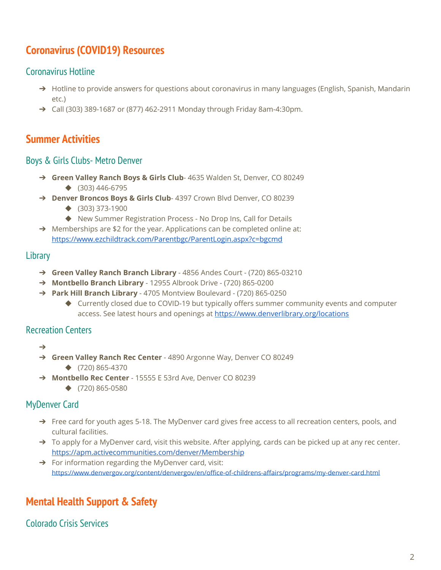# **Coronavirus (COVID19) Resources**

### Coronavirus Hotline

- → Hotline to provide answers for questions about coronavirus in many languages (English, Spanish, Mandarin etc.)
- ➔ Call (303) 389-1687 or (877) 462-2911 Monday through Friday 8am-4:30pm.

## **Summer Activities**

#### Boys & Girls Clubs- Metro Denver

- ➔ **Green Valley Ranch Boys & Girls Club** 4635 Walden St, Denver, CO 80249 ◆ (303) 446-6795
- ➔ **Denver Broncos Boys & Girls Club** 4397 Crown Blvd Denver, CO 80239
	- ◆ (303) 373-1900
	- ◆ New Summer Registration Process No Drop Ins, Call for Details
- → Memberships are \$2 for the year. Applications can be completed online at: <https://www.ezchildtrack.com/Parentbgc/ParentLogin.aspx?c=bgcmd>

#### **Library**

- ➔ **Green Valley Ranch Branch Library** 4856 Andes Court (720) 865-03210
- ➔ **Montbello Branch Library** 12955 Albrook Drive (720) 865-0200
- ➔ **Park Hill Branch Library** 4705 Montview Boulevard (720) 865-0250
	- ◆ Currently closed due to COVID-19 but typically offers summer community events and computer access. See latest hours and openings at <https://www.denverlibrary.org/locations>

#### Recreation Centers

- ➔
- ➔ **Green Valley Ranch Rec Center** 4890 Argonne Way, Denver CO 80249 ◆ (720) 865-4370
- ➔ **Montbello Rec Center** 15555 E 53rd Ave, Denver CO 80239
	- ◆ (720) 865-0580

#### MyDenver Card

- → Free card for youth ages 5-18. The MyDenver card gives free access to all recreation centers, pools, and cultural facilities.
- ➔ To apply for a MyDenver card, visit this website. After applying, cards can be picked up at any rec center. <https://apm.activecommunities.com/denver/Membership>
- ➔ For information regarding the MyDenver card, visit: <https://www.denvergov.org/content/denvergov/en/office-of-childrens-affairs/programs/my-denver-card.html>

# **Mental Health Support & Safety**

Colorado Crisis Services